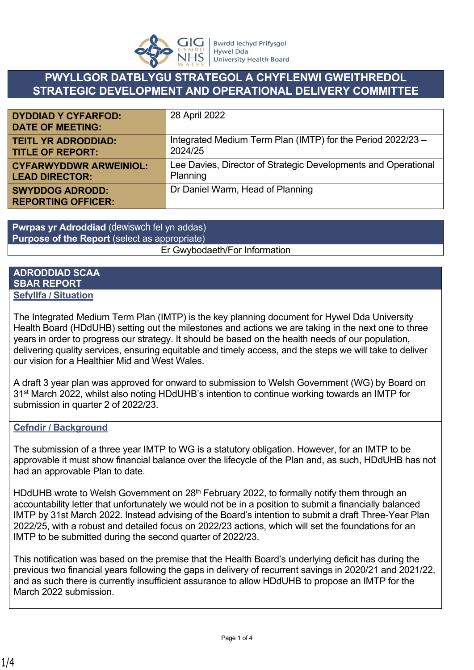

## **PWYLLGOR DATBLYGU STRATEGOL A CHYFLENWI GWEITHREDOL STRATEGIC DEVELOPMENT AND OPERATIONAL DELIVERY COMMITTEE**

| <b>DYDDIAD Y CYFARFOD:</b><br><b>DATE OF MEETING:</b> | 28 April 2022                                                  |
|-------------------------------------------------------|----------------------------------------------------------------|
| <b>TEITL YR ADRODDIAD:</b>                            | Integrated Medium Term Plan (IMTP) for the Period 2022/23 -    |
| <b>TITLE OF REPORT:</b>                               | 2024/25                                                        |
| <b>CYFARWYDDWR ARWEINIOL:</b>                         | Lee Davies, Director of Strategic Developments and Operational |
| <b>LEAD DIRECTOR:</b>                                 | Planning                                                       |
| <b>SWYDDOG ADRODD:</b><br><b>REPORTING OFFICER:</b>   | Dr Daniel Warm, Head of Planning                               |

**Pwrpas yr Adroddiad** (dewiswch fel yn addas) **Purpose of the Report** (select as appropriate)

Er Gwybodaeth/For Information

#### **ADRODDIAD SCAA SBAR REPORT Sefyllfa / Situation**

The Integrated Medium Term Plan (IMTP) is the key planning document for Hywel Dda University Health Board (HDdUHB) setting out the milestones and actions we are taking in the next one to three years in order to progress our strategy. It should be based on the health needs of our population, delivering quality services, ensuring equitable and timely access, and the steps we will take to deliver our vision for a Healthier Mid and West Wales.

A draft 3 year plan was approved for onward to submission to Welsh Government (WG) by Board on 31st March 2022, whilst also noting HDdUHB's intention to continue working towards an IMTP for submission in quarter 2 of 2022/23.

### **Cefndir / Background**

The submission of a three year IMTP to WG is a statutory obligation. However, for an IMTP to be approvable it must show financial balance over the lifecycle of the Plan and, as such, HDdUHB has not had an approvable Plan to date.

HDdUHB wrote to Welsh Government on 28<sup>th</sup> February 2022, to formally notify them through an accountability letter that unfortunately we would not be in a position to submit a financially balanced IMTP by 31st March 2022. Instead advising of the Board's intention to submit a draft Three-Year Plan 2022/25, with a robust and detailed focus on 2022/23 actions, which will set the foundations for an IMTP to be submitted during the second quarter of 2022/23.

This notification was based on the premise that the Health Board's underlying deficit has during the previous two financial years following the gaps in delivery of recurrent savings in 2020/21 and 2021/22, and as such there is currently insufficient assurance to allow HDdUHB to propose an IMTP for the March 2022 submission.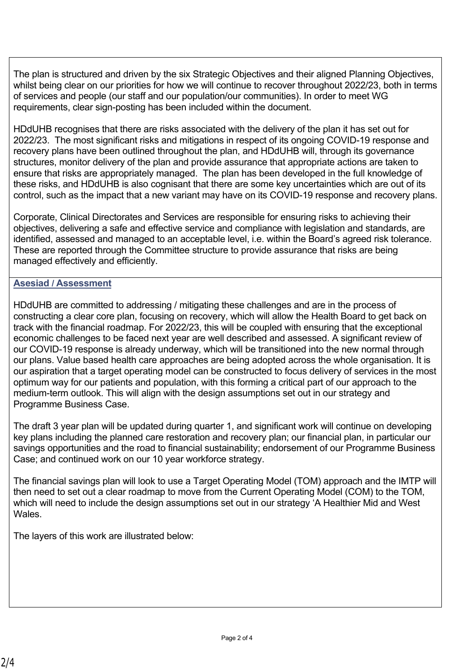The plan is structured and driven by the six Strategic Objectives and their aligned Planning Objectives, whilst being clear on our priorities for how we will continue to recover throughout 2022/23, both in terms of services and people (our staff and our population/our communities). In order to meet WG requirements, clear sign-posting has been included within the document.

HDdUHB recognises that there are risks associated with the delivery of the plan it has set out for 2022/23. The most significant risks and mitigations in respect of its ongoing COVID-19 response and recovery plans have been outlined throughout the plan, and HDdUHB will, through its governance structures, monitor delivery of the plan and provide assurance that appropriate actions are taken to ensure that risks are appropriately managed. The plan has been developed in the full knowledge of these risks, and HDdUHB is also cognisant that there are some key uncertainties which are out of its control, such as the impact that a new variant may have on its COVID-19 response and recovery plans.

Corporate, Clinical Directorates and Services are responsible for ensuring risks to achieving their objectives, delivering a safe and effective service and compliance with legislation and standards, are identified, assessed and managed to an acceptable level, i.e. within the Board's agreed risk tolerance. These are reported through the Committee structure to provide assurance that risks are being managed effectively and efficiently.

#### **Asesiad / Assessment**

HDdUHB are committed to addressing / mitigating these challenges and are in the process of constructing a clear core plan, focusing on recovery, which will allow the Health Board to get back on track with the financial roadmap. For 2022/23, this will be coupled with ensuring that the exceptional economic challenges to be faced next year are well described and assessed. A significant review of our COVID-19 response is already underway, which will be transitioned into the new normal through our plans. Value based health care approaches are being adopted across the whole organisation. It is our aspiration that a target operating model can be constructed to focus delivery of services in the most optimum way for our patients and population, with this forming a critical part of our approach to the medium-term outlook. This will align with the design assumptions set out in our strategy and Programme Business Case.

The draft 3 year plan will be updated during quarter 1, and significant work will continue on developing key plans including the planned care restoration and recovery plan; our financial plan, in particular our savings opportunities and the road to financial sustainability; endorsement of our Programme Business Case; and continued work on our 10 year workforce strategy.

The financial savings plan will look to use a Target Operating Model (TOM) approach and the IMTP will then need to set out a clear roadmap to move from the Current Operating Model (COM) to the TOM, which will need to include the design assumptions set out in our strategy 'A Healthier Mid and West **Wales** 

The layers of this work are illustrated below: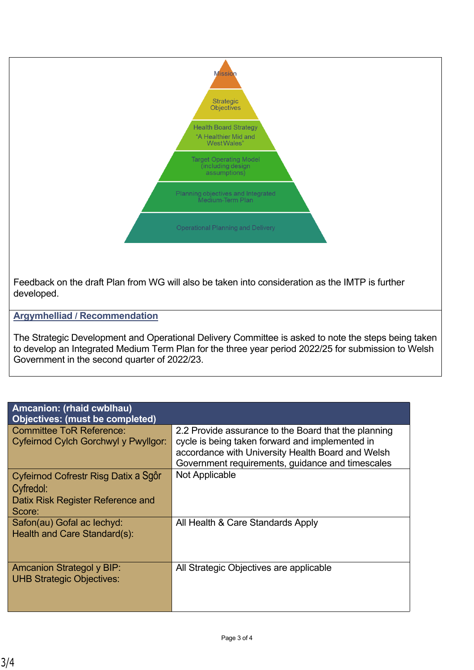

Feedback on the draft Plan from WG will also be taken into consideration as the IMTP is further developed.

**Argymhelliad / Recommendation**

The Strategic Development and Operational Delivery Committee is asked to note the steps being taken to develop an Integrated Medium Term Plan for the three year period 2022/25 for submission to Welsh Government in the second quarter of 2022/23.

| <b>Amcanion: (rhaid cwblhau)</b><br><b>Objectives: (must be completed)</b>                       |                                                                                                                                                                                                                  |  |
|--------------------------------------------------------------------------------------------------|------------------------------------------------------------------------------------------------------------------------------------------------------------------------------------------------------------------|--|
| <b>Committee ToR Reference:</b><br>Cyfeirnod Cylch Gorchwyl y Pwyllgor:                          | 2.2 Provide assurance to the Board that the planning<br>cycle is being taken forward and implemented in<br>accordance with University Health Board and Welsh<br>Government requirements, guidance and timescales |  |
| Cyfeirnod Cofrestr Risg Datix a Sgôr<br>Cyfredol:<br>Datix Risk Register Reference and<br>Score: | Not Applicable                                                                                                                                                                                                   |  |
| Safon(au) Gofal ac lechyd:<br>Health and Care Standard(s):                                       | All Health & Care Standards Apply                                                                                                                                                                                |  |
| <b>Amcanion Strategol y BIP:</b><br><b>UHB Strategic Objectives:</b>                             | All Strategic Objectives are applicable                                                                                                                                                                          |  |